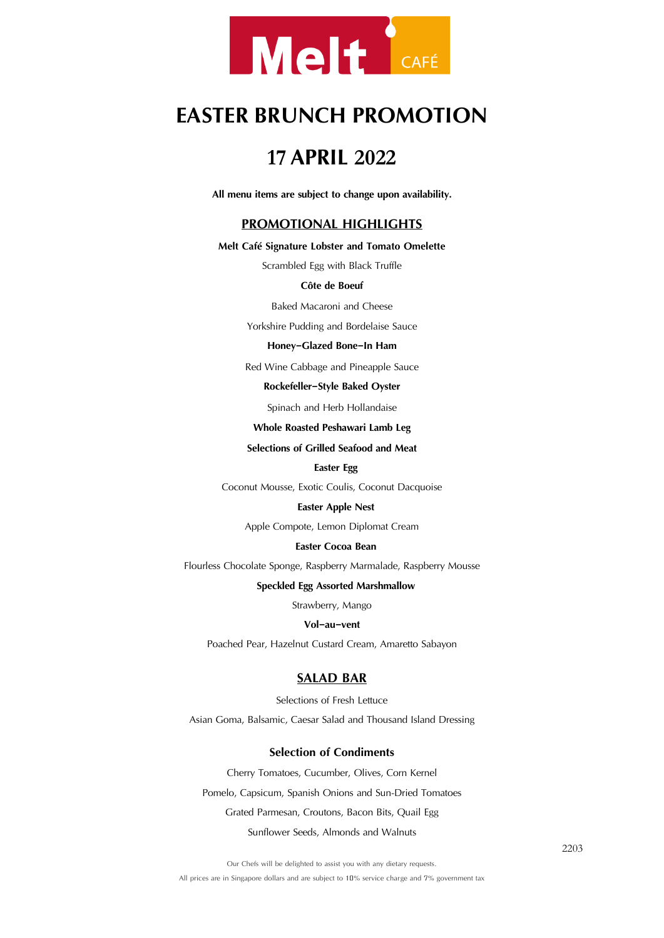

# **EASTER BRUNCH PROMOTION**

# **<sup>17</sup> APRIL <sup>2022</sup>**

**All menu items are subject to change upon availability.**

# **PROMOTIONAL HIGHLIGHTS**

#### **Melt Café Signature Lobster and Tomato Omelette**

Scrambled Egg with Black Truffle

### **Côte de Boeuf**

Baked Macaroni and Cheese

Yorkshire Pudding and Bordelaise Sauce

#### **Honey-Glazed Bone-In Ham**

Red Wine Cabbage and Pineapple Sauce

#### **Rockefeller-Style Baked Oyster**

Spinach and Herb Hollandaise

### **Whole Roasted Peshawari Lamb Leg**

### **Selections of Grilled Seafood and Meat**

### **Easter Egg**

Coconut Mousse, Exotic Coulis, Coconut Dacquoise

#### **Easter Apple Nest**

Apple Compote, Lemon Diplomat Cream

### **Easter Cocoa Bean**

Flourless Chocolate Sponge, Raspberry Marmalade, Raspberry Mousse

#### **Speckled Egg Assorted Marshmallow**

Strawberry, Mango

#### **Vol-au-vent**

Poached Pear, Hazelnut Custard Cream, Amaretto Sabayon

# **SALAD BAR**

Selections of Fresh Lettuce Asian Goma, Balsamic, Caesar Salad and Thousand Island Dressing

# **Selection of Condiments**

Cherry Tomatoes, Cucumber, Olives, Corn Kernel Pomelo, Capsicum, Spanish Onions and Sun-Dried Tomatoes Grated Parmesan, Croutons, Bacon Bits, Quail Egg Sunflower Seeds, Almonds and Walnuts

Our Chefs will be delighted to assist you with any dietary requests.

All prices are in Singapore dollars and are subject to 10% service charge and 7% government tax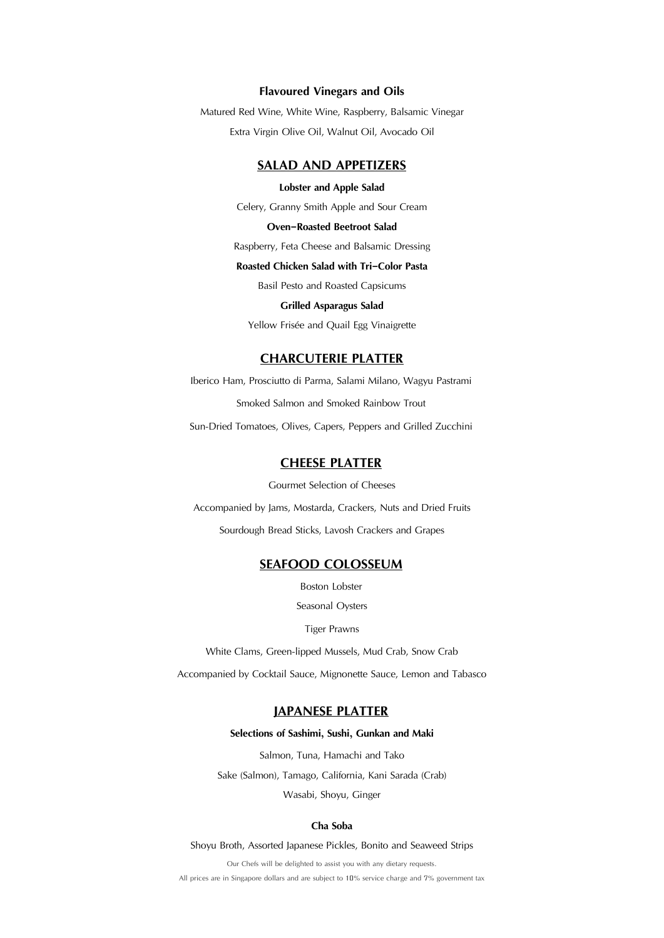### **Flavoured Vinegars and Oils**

Matured Red Wine, White Wine, Raspberry, Balsamic Vinegar Extra Virgin Olive Oil, Walnut Oil, Avocado Oil

# **SALAD AND APPETIZERS**

### **Lobster and Apple Salad**

Celery, Granny Smith Apple and Sour Cream

### **Oven-Roasted Beetroot Salad**

Raspberry, Feta Cheese and Balsamic Dressing

# **Roasted Chicken Salad with Tri-Color Pasta**

Basil Pesto and Roasted Capsicums

### **Grilled Asparagus Salad**

Yellow Frisée and Quail Egg Vinaigrette

# **CHARCUTERIE PLATTER**

Iberico Ham, Prosciutto di Parma, Salami Milano, Wagyu Pastrami Smoked Salmon and Smoked Rainbow Trout

Sun-Dried Tomatoes, Olives, Capers, Peppers and Grilled Zucchini

# **CHEESE PLATTER**

Gourmet Selection of Cheeses

Accompanied by Jams, Mostarda, Crackers, Nuts and Dried Fruits

Sourdough Bread Sticks, Lavosh Crackers and Grapes

# **SEAFOOD COLOSSEUM**

Boston Lobster

Seasonal Oysters

### Tiger Prawns

White Clams, Green-lipped Mussels, Mud Crab, Snow Crab

Accompanied by Cocktail Sauce, Mignonette Sauce, Lemon and Tabasco

# **JAPANESE PLATTER**

#### **Selections of Sashimi, Sushi, Gunkan and Maki**

Salmon, Tuna, Hamachi and Tako Sake (Salmon), Tamago, California, Kani Sarada (Crab) Wasabi, Shoyu, Ginger

### **Cha Soba**

Shoyu Broth, Assorted Japanese Pickles, Bonito and Seaweed Strips

Our Chefs will be delighted to assist you with any dietary requests. All prices are in Singapore dollars and are subject to 10% service charge and 7% government tax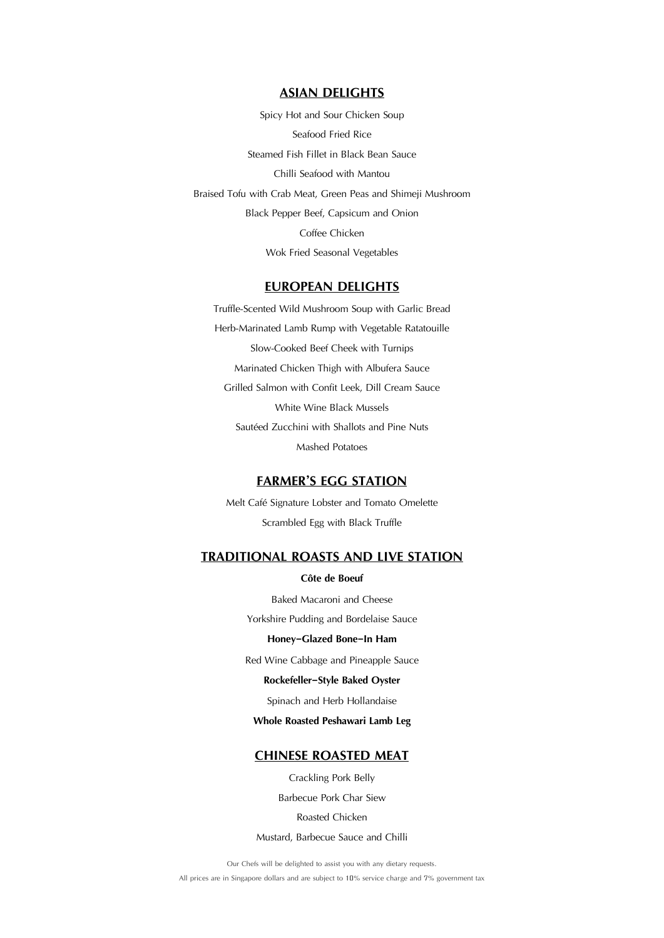# **ASIAN DELIGHTS**

Spicy Hot and Sour Chicken Soup Seafood Fried Rice Steamed Fish Fillet in Black Bean Sauce Chilli Seafood with Mantou Braised Tofu with Crab Meat, Green Peas and Shimeji Mushroom Black Pepper Beef, Capsicum and Onion Coffee Chicken Wok Fried Seasonal Vegetables

# **EUROPEAN DELIGHTS**

Truffle-Scented Wild Mushroom Soup with Garlic Bread Herb-Marinated Lamb Rump with Vegetable Ratatouille Slow-Cooked Beef Cheek with Turnips Marinated Chicken Thigh with Albufera Sauce Grilled Salmon with Confit Leek, Dill Cream Sauce White Wine Black Mussels Sautéed Zucchini with Shallots and Pine Nuts Mashed Potatoes

# **FARMER'S EGG STATION**

Melt Café Signature Lobster and Tomato Omelette Scrambled Egg with Black Truffle

# **TRADITIONAL ROASTS AND LIVE STATION**

# **Côte de Boeuf**

Baked Macaroni and Cheese Yorkshire Pudding and Bordelaise Sauce **Honey-Glazed Bone-In Ham** 

Red Wine Cabbage and Pineapple Sauce

### **Rockefeller-Style Baked Oyster**

Spinach and Herb Hollandaise

### **Whole Roasted Peshawari Lamb Leg**

# **CHINESE ROASTED MEAT**

Crackling Pork Belly

Barbecue Pork Char Siew

Roasted Chicken

Mustard, Barbecue Sauce and Chilli

Our Chefs will be delighted to assist you with any dietary requests.

All prices are in Singapore dollars and are subject to 10% service charge and 7% government tax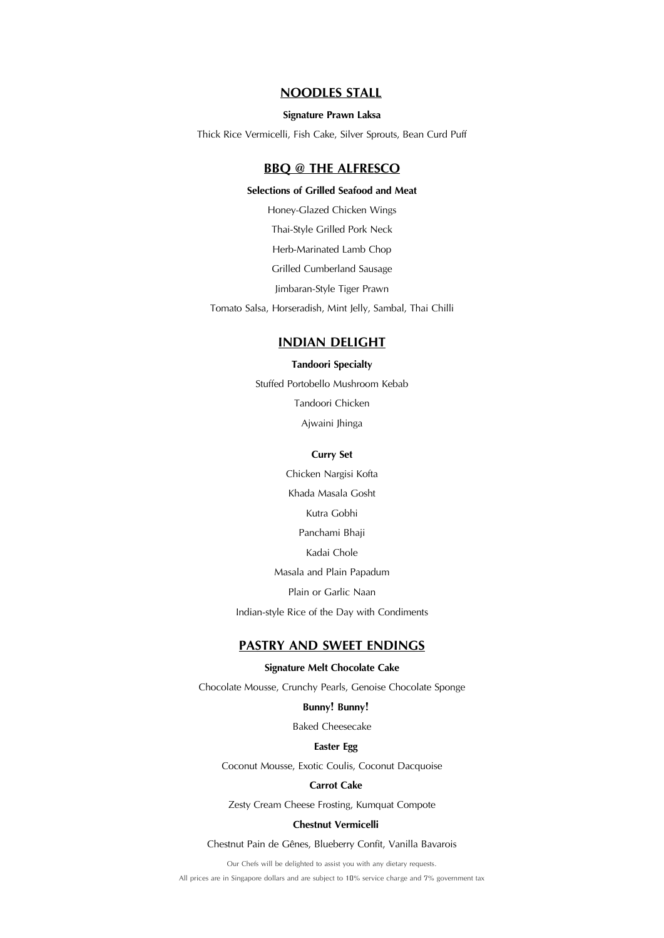# **NOODLES STALL**

### **Signature Prawn Laksa**

Thick Rice Vermicelli, Fish Cake, Silver Sprouts, Bean Curd Puff

# **BBQ @ THE ALFRESCO**

### **Selections of Grilled Seafood and Meat**

Honey-Glazed Chicken Wings

Thai-Style Grilled Pork Neck

Herb-Marinated Lamb Chop

Grilled Cumberland Sausage

Jimbaran-Style Tiger Prawn

Tomato Salsa, Horseradish, Mint Jelly, Sambal, Thai Chilli

# **INDIAN DELIGHT**

#### **Tandoori Specialty**

Stuffed Portobello Mushroom Kebab

Tandoori Chicken

Ajwaini Jhinga

### **Curry Set**

Chicken Nargisi Kofta Khada Masala Gosht Kutra Gobhi Panchami Bhaji Kadai Chole Masala and Plain Papadum

Plain or Garlic Naan

Indian-style Rice of the Day with Condiments

# **PASTRY AND SWEET ENDINGS**

# **Signature Melt Chocolate Cake**

Chocolate Mousse, Crunchy Pearls, Genoise Chocolate Sponge

### **Bunny! Bunny!**

Baked Cheesecake

#### **Easter Egg**

Coconut Mousse, Exotic Coulis, Coconut Dacquoise

### **Carrot Cake**

Zesty Cream Cheese Frosting, Kumquat Compote

### **Chestnut Vermicelli**

Chestnut Pain de Gênes, Blueberry Confit, Vanilla Bavarois

Our Chefs will be delighted to assist you with any dietary requests.

All prices are in Singapore dollars and are subject to 10% service charge and 7% government tax